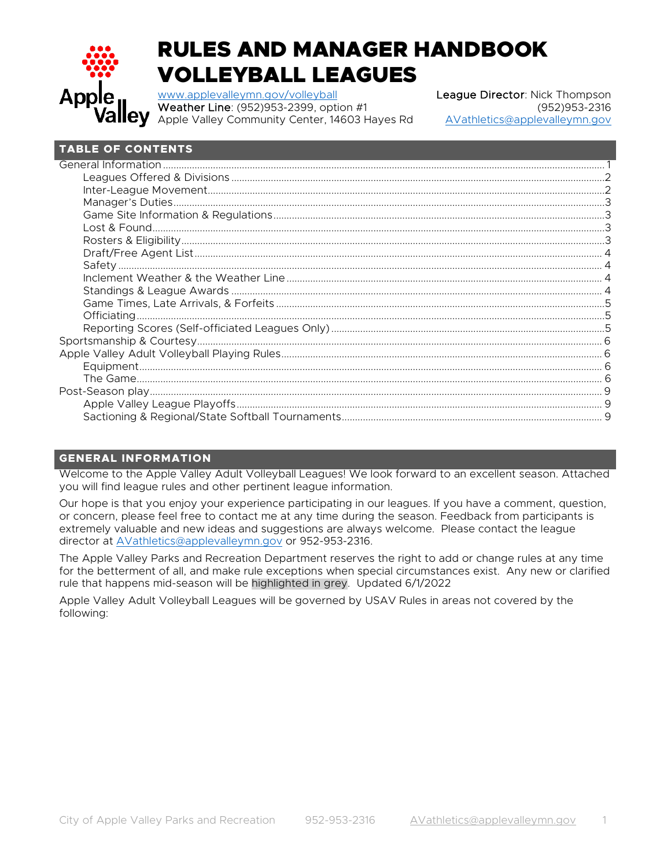

# RULES AND MANAGER HANDBOOK VOLLEYBALL LEAGUES

[www.applevalleymn.gov/volleyball](http://www.applevalleymn.gov/volleyball) League Director: Nick Thompson Weather Line: (952)953-2399, option #1<br>Apple Valley Community Center, 14603 Hayes Rd AVathletics@applevalleymn.gov Apple Valley Community Center, 14603 Hayes Rd

# **TABLE OF CONTENTS**

# <span id="page-0-0"></span>**GENERAL INFORMATION**

Welcome to the Apple Valley Adult Volleyball Leagues! We look forward to an excellent season. Attached you will find league rules and other pertinent league information.

Our hope is that you enjoy your experience participating in our leagues. If you have a comment, question, or concern, please feel free to contact me at any time during the season. Feedback from participants is extremely valuable and new ideas and suggestions are always welcome. Please contact the league director at [AVathletics@applevalleymn.gov](mailto:AVathletics@applevalleymn.gov) or 952-953-2316.

The Apple Valley Parks and Recreation Department reserves the right to add or change rules at any time for the betterment of all, and make rule exceptions when special circumstances exist. Any new or clarified rule that happens mid-season will be highlighted in grey. Updated 6/1/2022

Apple Valley Adult Volleyball Leagues will be governed by USAV Rules in areas not covered by the following: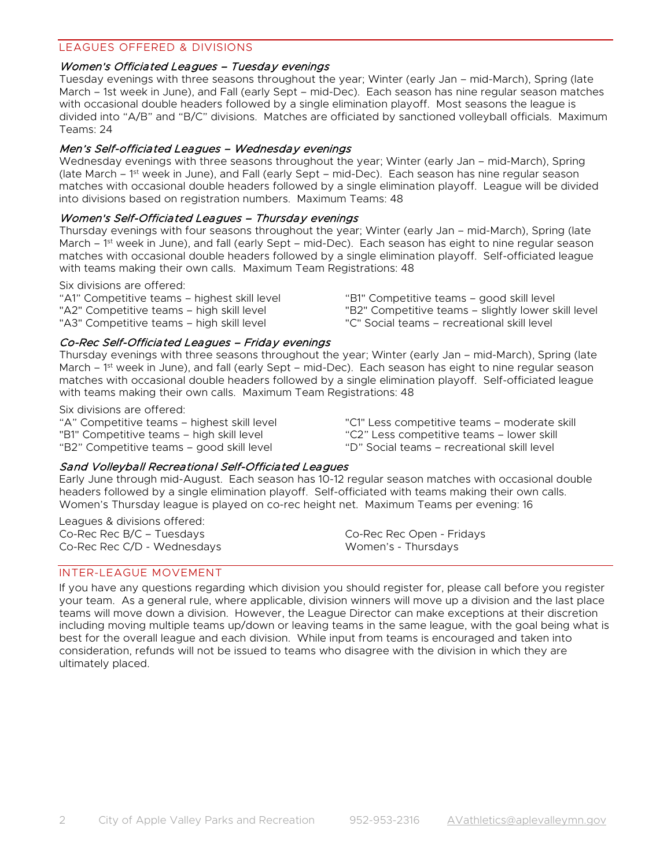## <span id="page-1-0"></span>LEAGUES OFFERED & DIVISIONS

#### Women's Officiated Leagues – Tuesday evenings

Tuesday evenings with three seasons throughout the year; Winter (early Jan – mid-March), Spring (late March – 1st week in June), and Fall (early Sept – mid-Dec). Each season has nine regular season matches with occasional double headers followed by a single elimination playoff. Most seasons the league is divided into "A/B" and "B/C" divisions. Matches are officiated by sanctioned volleyball officials. Maximum Teams: 24

#### Men's Self-officiated Leagues – Wednesday evenings

Wednesday evenings with three seasons throughout the year; Winter (early Jan – mid-March), Spring (late March – 1st week in June), and Fall (early Sept – mid-Dec). Each season has nine regular season matches with occasional double headers followed by a single elimination playoff. League will be divided into divisions based on registration numbers. Maximum Teams: 48

#### Women's Self-Officiated Leagues – Thursday evenings

Thursday evenings with four seasons throughout the year; Winter (early Jan – mid-March), Spring (late March – 1<sup>st</sup> week in June), and fall (early Sept – mid-Dec). Each season has eight to nine regular season matches with occasional double headers followed by a single elimination playoff. Self-officiated league with teams making their own calls. Maximum Team Registrations: 48

#### Six divisions are offered:

"A1" Competitive teams – highest skill level "A2" Competitive teams – high skill level "A3" Competitive teams – high skill level

"B1" Competitive teams – good skill level "B2" Competitive teams – slightly lower skill level "C" Social teams – recreational skill level

#### Co-Rec Self-Officiated Leagues – Friday evenings

Thursday evenings with three seasons throughout the year; Winter (early Jan – mid-March), Spring (late March – 1<sup>st</sup> week in June), and fall (early Sept – mid-Dec). Each season has eight to nine regular season matches with occasional double headers followed by a single elimination playoff. Self-officiated league with teams making their own calls. Maximum Team Registrations: 48

Six divisions are offered:

"A" Competitive teams – highest skill level "B1" Competitive teams – high skill level "B2" Competitive teams – good skill level

"C1" Less competitive teams – moderate skill "C2" Less competitive teams – lower skill "D" Social teams – recreational skill level

#### Sand Volleyball Recreational Self-Officiated Leagues

Early June through mid-August. Each season has 10-12 regular season matches with occasional double headers followed by a single elimination playoff. Self-officiated with teams making their own calls. Women's Thursday league is played on co-rec height net. Maximum Teams per evening: 16

Leagues & divisions offered: Co-Rec Rec B/C – Tuesdays Co-Rec Rec C/D - Wednesdays

Co-Rec Rec Open - Fridays Women's - Thursdays

# <span id="page-1-1"></span>INTER-LEAGUE MOVEMENT

If you have any questions regarding which division you should register for, please call before you register your team. As a general rule, where applicable, division winners will move up a division and the last place teams will move down a division. However, the League Director can make exceptions at their discretion including moving multiple teams up/down or leaving teams in the same league, with the goal being what is best for the overall league and each division. While input from teams is encouraged and taken into consideration, refunds will not be issued to teams who disagree with the division in which they are ultimately placed.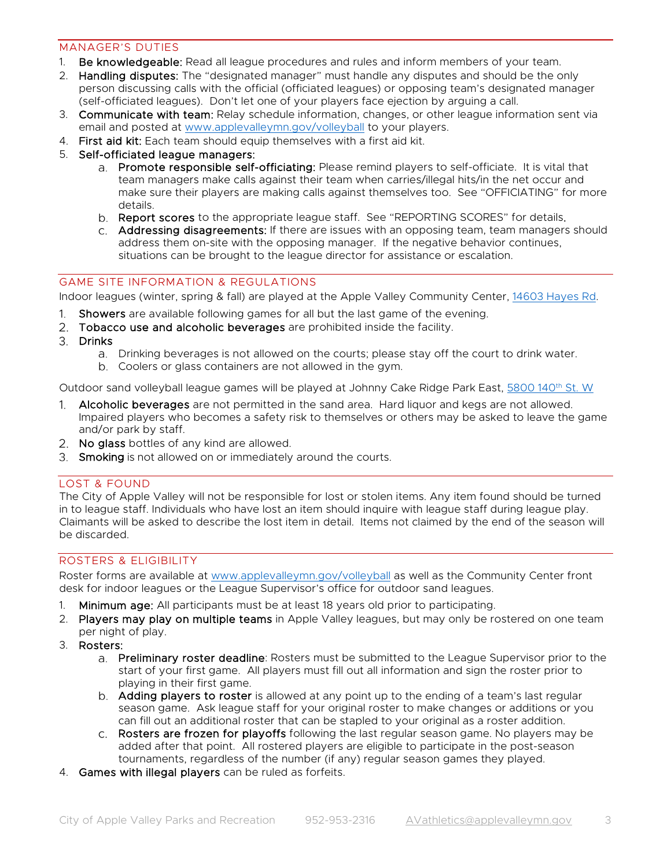# <span id="page-2-0"></span>MANAGER'S DUTIES

- 1. Be knowledgeable: Read all league procedures and rules and inform members of your team.
- 2. Handling disputes: The "designated manager" must handle any disputes and should be the only person discussing calls with the official (officiated leagues) or opposing team's designated manager (self-officiated leagues). Don't let one of your players face ejection by arguing a call.
- 3. Communicate with team: Relay schedule information, changes, or other league information sent via email and posted at [www.applevalleymn.gov/volleyball](http://www.applevalleymn.gov/volleyball) to your players.
- 4. First aid kit: Each team should equip themselves with a first aid kit.
- 5. Self-officiated league managers:
	- a. Promote responsible self-officiating: Please remind players to self-officiate. It is vital that team managers make calls against their team when carries/illegal hits/in the net occur and make sure their players are making calls against themselves too. See "OFFICIATING" for more details.
	- b. Report scores to the appropriate league staff. See "REPORTING SCORES" for details.
	- Addressing disagreements: If there are issues with an opposing team, team managers should address them on-site with the opposing manager. If the negative behavior continues, situations can be brought to the league director for assistance or escalation.

# <span id="page-2-1"></span>GAME SITE INFORMATION & REGULATIONS

Indoor leagues (winter, spring & fall) are played at the Apple Valley Community Center, [14603 Hayes Rd.](https://goo.gl/maps/Jx5F9xtTxAootdcy6)

- 1. Showers are available following games for all but the last game of the evening.
- 2. Tobacco use and alcoholic beverages are prohibited inside the facility.
- 3. Drinks
	- Drinking beverages is not allowed on the courts; please stay off the court to drink water.
	- Coolers or glass containers are not allowed in the gym.

Outdoor sand volleyball league games will be played at Johnny Cake Ridge Park East, [5800 140th](https://goo.gl/maps/9RGhLDaLYPUandFy7) St. W

- 1. Alcoholic beverages are not permitted in the sand area. Hard liquor and kegs are not allowed. Impaired players who becomes a safety risk to themselves or others may be asked to leave the game and/or park by staff.
- 2. No glass bottles of any kind are allowed.
- <span id="page-2-2"></span>3. Smoking is not allowed on or immediately around the courts.

# LOST & FOUND

The City of Apple Valley will not be responsible for lost or stolen items. Any item found should be turned in to league staff. Individuals who have lost an item should inquire with league staff during league play. Claimants will be asked to describe the lost item in detail. Items not claimed by the end of the season will be discarded.

# <span id="page-2-3"></span>ROSTERS & ELIGIBILITY

Roster forms are available at [www.applevalleymn.gov/volleyball](http://www.applevalleymn.gov/volleyball) as well as the Community Center front desk for indoor leagues or the League Supervisor's office for outdoor sand leagues.

- 1. Minimum age: All participants must be at least 18 years old prior to participating.
- 2. Players may play on multiple teams in Apple Valley leagues, but may only be rostered on one team per night of play.
- 3. Rosters:
	- a. Preliminary roster deadline: Rosters must be submitted to the League Supervisor prior to the start of your first game. All players must fill out all information and sign the roster prior to playing in their first game.
	- b. Adding players to roster is allowed at any point up to the ending of a team's last regular season game. Ask league staff for your original roster to make changes or additions or you can fill out an additional roster that can be stapled to your original as a roster addition.
	- c. Rosters are frozen for playoffs following the last regular season game. No players may be added after that point. All rostered players are eligible to participate in the post-season tournaments, regardless of the number (if any) regular season games they played.
- 4. Games with illegal players can be ruled as forfeits.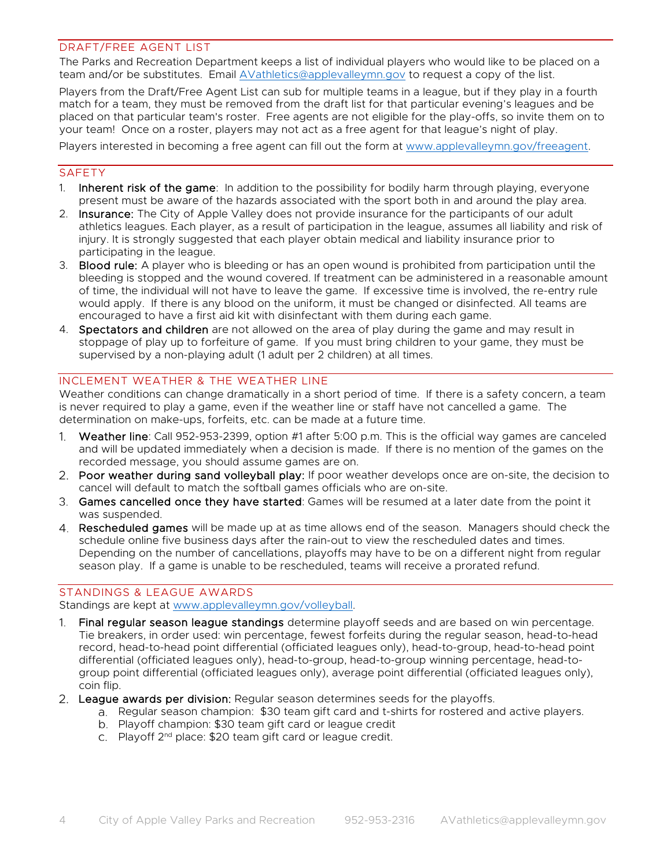## <span id="page-3-0"></span>DRAFT/FREE AGENT LIST

The Parks and Recreation Department keeps a list of individual players who would like to be placed on a team and/or be substitutes. Email [AVathletics@applevalleymn.gov](mailto:AVathletics@applevalleymn.gov) to request a copy of the list.

Players from the Draft/Free Agent List can sub for multiple teams in a league, but if they play in a fourth match for a team, they must be removed from the draft list for that particular evening's leagues and be placed on that particular team's roster. Free agents are not eligible for the play-offs, so invite them on to your team! Once on a roster, players may not act as a free agent for that league's night of play.

Players interested in becoming a free agent can fill out the form at [www.applevalleymn.gov/freeagent.](http://www.applevalleymn.gov/freeagent)

# <span id="page-3-1"></span>**SAFETY**

- 1. Inherent risk of the game: In addition to the possibility for bodily harm through playing, everyone present must be aware of the hazards associated with the sport both in and around the play area.
- 2. Insurance: The City of Apple Valley does not provide insurance for the participants of our adult athletics leagues. Each player, as a result of participation in the league, assumes all liability and risk of injury. It is strongly suggested that each player obtain medical and liability insurance prior to participating in the league.
- 3. Blood rule: A player who is bleeding or has an open wound is prohibited from participation until the bleeding is stopped and the wound covered. If treatment can be administered in a reasonable amount of time, the individual will not have to leave the game. If excessive time is involved, the re-entry rule would apply. If there is any blood on the uniform, it must be changed or disinfected. All teams are encouraged to have a first aid kit with disinfectant with them during each game.
- 4. **Spectators and children** are not allowed on the area of play during the game and may result in stoppage of play up to forfeiture of game. If you must bring children to your game, they must be supervised by a non-playing adult (1 adult per 2 children) at all times.

## <span id="page-3-2"></span>INCLEMENT WEATHER & THE WEATHER LINE

Weather conditions can change dramatically in a short period of time. If there is a safety concern, a team is never required to play a game, even if the weather line or staff have not cancelled a game. The determination on make-ups, forfeits, etc. can be made at a future time.

- Weather line: Call 952-953-2399, option #1 after 5:00 p.m. This is the official way games are canceled  $1<sup>1</sup>$ and will be updated immediately when a decision is made. If there is no mention of the games on the recorded message, you should assume games are on.
- 2. Poor weather during sand volleyball play: If poor weather develops once are on-site, the decision to cancel will default to match the softball games officials who are on-site.
- Games cancelled once they have started: Games will be resumed at a later date from the point it was suspended.
- 4. Rescheduled games will be made up at as time allows end of the season. Managers should check the schedule online five business days after the rain-out to view the rescheduled dates and times. Depending on the number of cancellations, playoffs may have to be on a different night from regular season play. If a game is unable to be rescheduled, teams will receive a prorated refund.

#### <span id="page-3-3"></span>STANDINGS & LEAGUE AWARDS

Standings are kept at [www.applevalleymn.gov/volleyball.](http://www.applevalleymn.gov/volleyball)

- 1. Final regular season league standings determine playoff seeds and are based on win percentage. Tie breakers, in order used: win percentage, fewest forfeits during the regular season, head-to-head record, head-to-head point differential (officiated leagues only), head-to-group, head-to-head point differential (officiated leagues only), head-to-group, head-to-group winning percentage, head-togroup point differential (officiated leagues only), average point differential (officiated leagues only), coin flip.
- 2. League awards per division: Regular season determines seeds for the playoffs.
	- a. Regular season champion: \$30 team gift card and t-shirts for rostered and active players.
	- b. Playoff champion: \$30 team gift card or league credit
	- c. Playoff 2<sup>nd</sup> place: \$20 team gift card or league credit.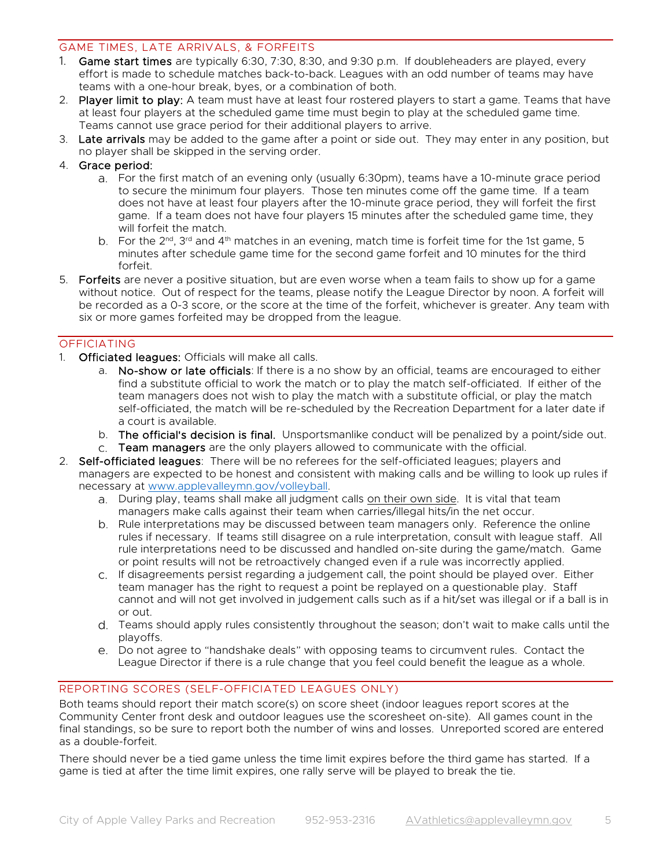# <span id="page-4-0"></span>GAME TIMES, LATE ARRIVALS, & FORFEITS

- 1. Game start times are typically 6:30, 7:30, 8:30, and 9:30 p.m. If doubleheaders are played, every effort is made to schedule matches back-to-back. Leagues with an odd number of teams may have teams with a one-hour break, byes, or a combination of both.
- 2. Player limit to play: A team must have at least four rostered players to start a game. Teams that have at least four players at the scheduled game time must begin to play at the scheduled game time. Teams cannot use grace period for their additional players to arrive.
- 3. Late arrivals may be added to the game after a point or side out. They may enter in any position, but no player shall be skipped in the serving order.
- 4. Grace period:
	- For the first match of an evening only (usually 6:30pm), teams have a 10-minute grace period to secure the minimum four players. Those ten minutes come off the game time. If a team does not have at least four players after the 10-minute grace period, they will forfeit the first game. If a team does not have four players 15 minutes after the scheduled game time, they will forfeit the match.
	- b. For the  $2^{nd}$ ,  $3^{rd}$  and  $4^{th}$  matches in an evening, match time is forfeit time for the 1st game, 5 minutes after schedule game time for the second game forfeit and 10 minutes for the third forfeit.
- 5. Forfeits are never a positive situation, but are even worse when a team fails to show up for a game without notice. Out of respect for the teams, please notify the League Director by noon. A forfeit will be recorded as a 0-3 score, or the score at the time of the forfeit, whichever is greater. Any team with six or more games forfeited may be dropped from the league.

# <span id="page-4-1"></span>OFFICIATING

- 1. Officiated leagues: Officials will make all calls.
	- a. No-show or late officials: If there is a no show by an official, teams are encouraged to either find a substitute official to work the match or to play the match self-officiated. If either of the team managers does not wish to play the match with a substitute official, or play the match self-officiated, the match will be re-scheduled by the Recreation Department for a later date if a court is available.
	- b. The official's decision is final. Unsportsmanlike conduct will be penalized by a point/side out.
	- c. Team managers are the only players allowed to communicate with the official.
- 2. Self-officiated leagues: There will be no referees for the self-officiated leagues; players and managers are expected to be honest and consistent with making calls and be willing to look up rules if necessary at [www.applevalleymn.gov/volleyball.](http://www.applevalleymn.gov/volleyball)
	- During play, teams shall make all judgment calls on their own side. It is vital that team managers make calls against their team when carries/illegal hits/in the net occur.
	- b. Rule interpretations may be discussed between team managers only. Reference the online rules if necessary. If teams still disagree on a rule interpretation, consult with league staff. All rule interpretations need to be discussed and handled on-site during the game/match. Game or point results will not be retroactively changed even if a rule was incorrectly applied.
	- If disagreements persist regarding a judgement call, the point should be played over. Either team manager has the right to request a point be replayed on a questionable play. Staff cannot and will not get involved in judgement calls such as if a hit/set was illegal or if a ball is in or out.
	- Teams should apply rules consistently throughout the season; don't wait to make calls until the playoffs.
	- Do not agree to "handshake deals" with opposing teams to circumvent rules. Contact the League Director if there is a rule change that you feel could benefit the league as a whole.

# <span id="page-4-2"></span>REPORTING SCORES (SELF-OFFICIATED LEAGUES ONLY)

Both teams should report their match score(s) on score sheet (indoor leagues report scores at the Community Center front desk and outdoor leagues use the scoresheet on-site). All games count in the final standings, so be sure to report both the number of wins and losses. Unreported scored are entered as a double-forfeit.

There should never be a tied game unless the time limit expires before the third game has started. If a game is tied at after the time limit expires, one rally serve will be played to break the tie.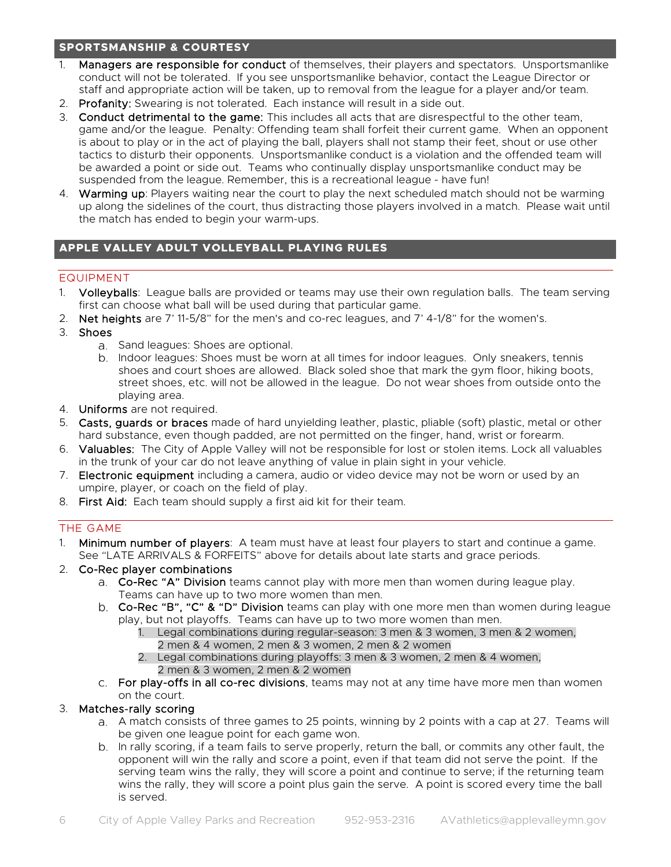# <span id="page-5-0"></span>**SPORTSMANSHIP & COURTESY**

- 1. Managers are responsible for conduct of themselves, their players and spectators. Unsportsmanlike conduct will not be tolerated. If you see unsportsmanlike behavior, contact the League Director or staff and appropriate action will be taken, up to removal from the league for a player and/or team.
- 2. Profanity: Swearing is not tolerated. Each instance will result in a side out.
- 3. Conduct detrimental to the game: This includes all acts that are disrespectful to the other team, game and/or the league. Penalty: Offending team shall forfeit their current game. When an opponent is about to play or in the act of playing the ball, players shall not stamp their feet, shout or use other tactics to disturb their opponents. Unsportsmanlike conduct is a violation and the offended team will be awarded a point or side out. Teams who continually display unsportsmanlike conduct may be suspended from the league. Remember, this is a recreational league - have fun!
- 4. Warming up: Players waiting near the court to play the next scheduled match should not be warming up along the sidelines of the court, thus distracting those players involved in a match. Please wait until the match has ended to begin your warm-ups.

# <span id="page-5-1"></span>**APPLE VALLEY ADULT VOLLEYBALL PLAYING RULES**

# <span id="page-5-2"></span>EQUIPMENT

- 1. Volleyballs: League balls are provided or teams may use their own regulation balls. The team serving first can choose what ball will be used during that particular game.
- 2. Net heights are 7' 11-5/8" for the men's and co-rec leagues, and 7' 4-1/8" for the women's.
- 3. Shoes
	- a. Sand leagues: Shoes are optional.
	- b. Indoor leagues: Shoes must be worn at all times for indoor leagues. Only sneakers, tennis shoes and court shoes are allowed. Black soled shoe that mark the gym floor, hiking boots, street shoes, etc. will not be allowed in the league. Do not wear shoes from outside onto the playing area.
- 4. Uniforms are not required.
- 5. Casts, guards or braces made of hard unyielding leather, plastic, pliable (soft) plastic, metal or other hard substance, even though padded, are not permitted on the finger, hand, wrist or forearm.
- 6. Valuables: The City of Apple Valley will not be responsible for lost or stolen items. Lock all valuables in the trunk of your car do not leave anything of value in plain sight in your vehicle.
- 7. Electronic equipment including a camera, audio or video device may not be worn or used by an umpire, player, or coach on the field of play.
- <span id="page-5-3"></span>8. First Aid: Each team should supply a first aid kit for their team.

# THE GAME

- 1. Minimum number of players: A team must have at least four players to start and continue a game. See "LATE ARRIVALS & FORFEITS" above for details about late starts and grace periods.
- 2. Co-Rec player combinations
	- a. Co-Rec "A" Division teams cannot play with more men than women during league play. Teams can have up to two more women than men.
	- b. Co-Rec "B", "C" & "D" Division teams can play with one more men than women during league play, but not playoffs. Teams can have up to two more women than men.
		- 1. Legal combinations during regular-season: 3 men & 3 women, 3 men & 2 women, 2 men & 4 women, 2 men & 3 women, 2 men & 2 women
		- 2. Legal combinations during playoffs: 3 men & 3 women, 2 men & 4 women, 2 men & 3 women, 2 men & 2 women
	- c. For play-offs in all co-rec divisions, teams may not at any time have more men than women on the court.

# 3. Matches-rally scoring

- a. A match consists of three games to 25 points, winning by 2 points with a cap at 27. Teams will be given one league point for each game won.
- b. In rally scoring, if a team fails to serve properly, return the ball, or commits any other fault, the opponent will win the rally and score a point, even if that team did not serve the point. If the serving team wins the rally, they will score a point and continue to serve; if the returning team wins the rally, they will score a point plus gain the serve. A point is scored every time the ball is served.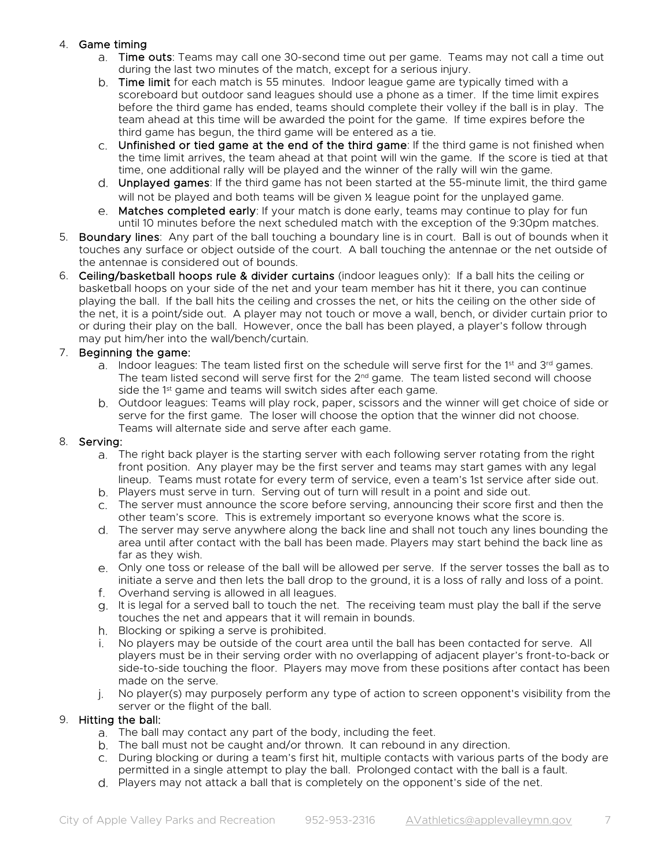# 4. Game timing

- a. Time outs: Teams may call one 30-second time out per game. Teams may not call a time out during the last two minutes of the match, except for a serious injury.
- b. Time limit for each match is 55 minutes. Indoor league game are typically timed with a scoreboard but outdoor sand leagues should use a phone as a timer. If the time limit expires before the third game has ended, teams should complete their volley if the ball is in play. The team ahead at this time will be awarded the point for the game. If time expires before the third game has begun, the third game will be entered as a tie.
- c. Unfinished or tied game at the end of the third game: If the third game is not finished when the time limit arrives, the team ahead at that point will win the game. If the score is tied at that time, one additional rally will be played and the winner of the rally will win the game.
- d. Unplayed games: If the third game has not been started at the 55-minute limit, the third game will not be played and both teams will be given  $\frac{y}{x}$  league point for the unplayed game.
- e. Matches completed early: If your match is done early, teams may continue to play for fun until 10 minutes before the next scheduled match with the exception of the 9:30pm matches.
- 5. Boundary lines: Any part of the ball touching a boundary line is in court. Ball is out of bounds when it touches any surface or object outside of the court. A ball touching the antennae or the net outside of the antennae is considered out of bounds.
- 6. Ceiling/basketball hoops rule & divider curtains (indoor leagues only): If a ball hits the ceiling or basketball hoops on your side of the net and your team member has hit it there, you can continue playing the ball. If the ball hits the ceiling and crosses the net, or hits the ceiling on the other side of the net, it is a point/side out. A player may not touch or move a wall, bench, or divider curtain prior to or during their play on the ball. However, once the ball has been played, a player's follow through may put him/her into the wall/bench/curtain.

# 7. Beginning the game:

- a. Indoor leagues: The team listed first on the schedule will serve first for the 1<sup>st</sup> and  $3^{rd}$  games. The team listed second will serve first for the  $2^{nd}$  game. The team listed second will choose side the 1<sup>st</sup> game and teams will switch sides after each game.
- Outdoor leagues: Teams will play rock, paper, scissors and the winner will get choice of side or serve for the first game. The loser will choose the option that the winner did not choose. Teams will alternate side and serve after each game.

# 8. Serving:

- The right back player is the starting server with each following server rotating from the right front position. Any player may be the first server and teams may start games with any legal lineup. Teams must rotate for every term of service, even a team's 1st service after side out.
- Players must serve in turn. Serving out of turn will result in a point and side out.
- The server must announce the score before serving, announcing their score first and then the other team's score. This is extremely important so everyone knows what the score is.
- The server may serve anywhere along the back line and shall not touch any lines bounding the area until after contact with the ball has been made. Players may start behind the back line as far as they wish.
- Only one toss or release of the ball will be allowed per serve. If the server tosses the ball as to initiate a serve and then lets the ball drop to the ground, it is a loss of rally and loss of a point.
- Overhand serving is allowed in all leagues.
- g. It is legal for a served ball to touch the net. The receiving team must play the ball if the serve touches the net and appears that it will remain in bounds.
- h. Blocking or spiking a serve is prohibited.
- No players may be outside of the court area until the ball has been contacted for serve. All players must be in their serving order with no overlapping of adjacent player's front-to-back or side-to-side touching the floor. Players may move from these positions after contact has been made on the serve.
- j. No player(s) may purposely perform any type of action to screen opponent's visibility from the server or the flight of the ball.

# 9. Hitting the ball:

- The ball may contact any part of the body, including the feet.
- b. The ball must not be caught and/or thrown. It can rebound in any direction.
- c. During blocking or during a team's first hit, multiple contacts with various parts of the body are permitted in a single attempt to play the ball. Prolonged contact with the ball is a fault.
- Players may not attack a ball that is completely on the opponent's side of the net.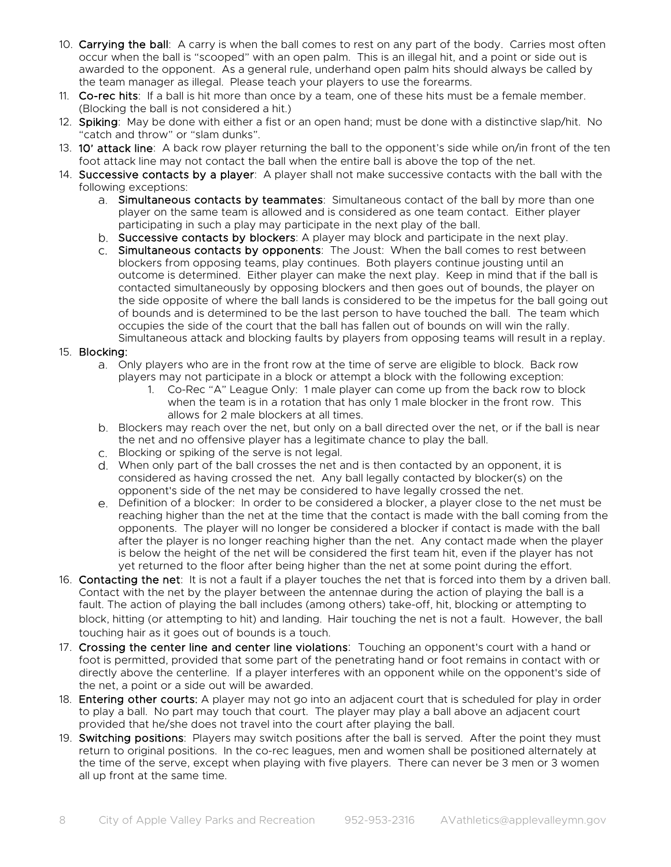- 10. Carrying the ball: A carry is when the ball comes to rest on any part of the body. Carries most often occur when the ball is "scooped" with an open palm. This is an illegal hit, and a point or side out is awarded to the opponent. As a general rule, underhand open palm hits should always be called by the team manager as illegal. Please teach your players to use the forearms.
- 11. Co-rec hits: If a ball is hit more than once by a team, one of these hits must be a female member. (Blocking the ball is not considered a hit.)
- 12. Spiking: May be done with either a fist or an open hand; must be done with a distinctive slap/hit. No "catch and throw" or "slam dunks".
- 13. 10' attack line: A back row player returning the ball to the opponent's side while on/in front of the ten foot attack line may not contact the ball when the entire ball is above the top of the net.
- 14. Successive contacts by a player: A player shall not make successive contacts with the ball with the following exceptions:
	- a. Simultaneous contacts by teammates: Simultaneous contact of the ball by more than one player on the same team is allowed and is considered as one team contact. Either player participating in such a play may participate in the next play of the ball.
	- b. Successive contacts by blockers: A player may block and participate in the next play.
	- c. Simultaneous contacts by opponents: The Joust: When the ball comes to rest between blockers from opposing teams, play continues. Both players continue jousting until an outcome is determined. Either player can make the next play. Keep in mind that if the ball is contacted simultaneously by opposing blockers and then goes out of bounds, the player on the side opposite of where the ball lands is considered to be the impetus for the ball going out of bounds and is determined to be the last person to have touched the ball. The team which occupies the side of the court that the ball has fallen out of bounds on will win the rally. Simultaneous attack and blocking faults by players from opposing teams will result in a replay.

#### 15. Blocking:

- Only players who are in the front row at the time of serve are eligible to block. Back row players may not participate in a block or attempt a block with the following exception:
	- 1. Co-Rec "A" League Only: 1 male player can come up from the back row to block when the team is in a rotation that has only 1 male blocker in the front row. This allows for 2 male blockers at all times.
- Blockers may reach over the net, but only on a ball directed over the net, or if the ball is near the net and no offensive player has a legitimate chance to play the ball.
- Blocking or spiking of the serve is not legal.
- When only part of the ball crosses the net and is then contacted by an opponent, it is considered as having crossed the net. Any ball legally contacted by blocker(s) on the opponent's side of the net may be considered to have legally crossed the net.
- Definition of a blocker: In order to be considered a blocker, a player close to the net must be reaching higher than the net at the time that the contact is made with the ball coming from the opponents. The player will no longer be considered a blocker if contact is made with the ball after the player is no longer reaching higher than the net. Any contact made when the player is below the height of the net will be considered the first team hit, even if the player has not yet returned to the floor after being higher than the net at some point during the effort.
- 16. Contacting the net: It is not a fault if a player touches the net that is forced into them by a driven ball. Contact with the net by the player between the antennae during the action of playing the ball is a fault. The action of playing the ball includes (among others) take-off, hit, blocking or attempting to block, hitting (or attempting to hit) and landing. Hair touching the net is not a fault. However, the ball touching hair as it goes out of bounds is a touch.
- 17. Crossing the center line and center line violations: Touching an opponent's court with a hand or foot is permitted, provided that some part of the penetrating hand or foot remains in contact with or directly above the centerline. If a player interferes with an opponent while on the opponent's side of the net, a point or a side out will be awarded.
- 18. Entering other courts: A player may not go into an adjacent court that is scheduled for play in order to play a ball. No part may touch that court. The player may play a ball above an adjacent court provided that he/she does not travel into the court after playing the ball.
- 19. Switching positions: Players may switch positions after the ball is served. After the point they must return to original positions. In the co-rec leagues, men and women shall be positioned alternately at the time of the serve, except when playing with five players. There can never be 3 men or 3 women all up front at the same time.